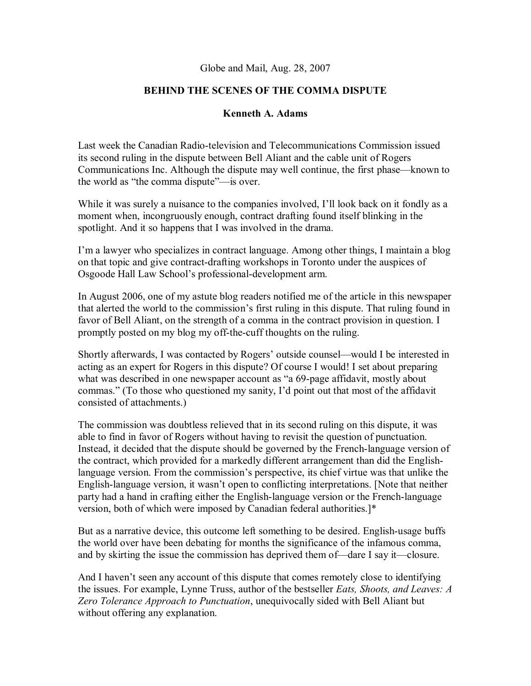## Globe and Mail, Aug. 28, 2007

## **BEHIND THE SCENES OF THE COMMA DISPUTE**

## **Kenneth A. Adams**

Last week the Canadian Radio-television and Telecommunications Commission issued its second ruling in the dispute between Bell Aliant and the cable unit of Rogers Communications Inc. Although the dispute may well continue, the first phase—known to the world as "the comma dispute"—is over.

While it was surely a nuisance to the companies involved, I'll look back on it fondly as a moment when, incongruously enough, contract drafting found itself blinking in the spotlight. And it so happens that I was involved in the drama.

I'm a lawyer who specializes in contract language. Among other things, I maintain a blog on that topic and give contract-drafting workshops in Toronto under the auspices of Osgoode Hall Law School's professional-development arm.

In August 2006, one of my astute blog readers notified me of the article in this newspaper that alerted the world to the commission's first ruling in this dispute. That ruling found in favor of Bell Aliant, on the strength of a comma in the contract provision in question. I promptly posted on my blog my off-the-cuff thoughts on the ruling.

Shortly afterwards, I was contacted by Rogers' outside counsel—would I be interested in acting as an expert for Rogers in this dispute? Of course I would! I set about preparing what was described in one newspaper account as "a 69-page affidavit, mostly about commas." (To those who questioned my sanity, I'd point out that most of the affidavit consisted of attachments.)

The commission was doubtless relieved that in its second ruling on this dispute, it was able to find in favor of Rogers without having to revisit the question of punctuation. Instead, it decided that the dispute should be governed by the French-language version of the contract, which provided for a markedly different arrangement than did the Englishlanguage version. From the commission's perspective, its chief virtue was that unlike the English-language version, it wasn't open to conflicting interpretations. [Note that neither party had a hand in crafting either the English-language version or the French-language version, both of which were imposed by Canadian federal authorities.]\*

But as a narrative device, this outcome left something to be desired. English-usage buffs the world over have been debating for months the significance of the infamous comma, and by skirting the issue the commission has deprived them of—dare I say it—closure.

And I haven't seen any account of this dispute that comes remotely close to identifying the issues. For example, Lynne Truss, author of the bestseller *Eats, Shoots, and Leaves: A Zero Tolerance Approach to Punctuation*, unequivocally sided with Bell Aliant but without offering any explanation.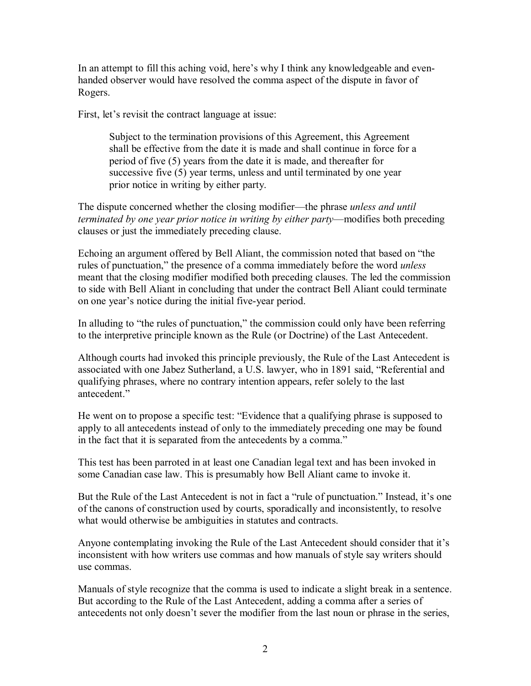In an attempt to fill this aching void, here's why I think any knowledgeable and evenhanded observer would have resolved the comma aspect of the dispute in favor of Rogers.

First, let's revisit the contract language at issue:

Subject to the termination provisions of this Agreement, this Agreement shall be effective from the date it is made and shall continue in force for a period of five (5) years from the date it is made, and thereafter for successive five (5) year terms, unless and until terminated by one year prior notice in writing by either party.

The dispute concerned whether the closing modifier—the phrase *unless and until terminated by one year prior notice in writing by either party*—modifies both preceding clauses or just the immediately preceding clause.

Echoing an argument offered by Bell Aliant, the commission noted that based on "the rules of punctuation," the presence of a comma immediately before the word *unless* meant that the closing modifier modified both preceding clauses. The led the commission to side with Bell Aliant in concluding that under the contract Bell Aliant could terminate on one year's notice during the initial five-year period.

In alluding to "the rules of punctuation," the commission could only have been referring to the interpretive principle known as the Rule (or Doctrine) of the Last Antecedent.

Although courts had invoked this principle previously, the Rule of the Last Antecedent is associated with one Jabez Sutherland, a U.S. lawyer, who in 1891 said, "Referential and qualifying phrases, where no contrary intention appears, refer solely to the last antecedent."

He went on to propose a specific test: "Evidence that a qualifying phrase is supposed to apply to all antecedents instead of only to the immediately preceding one may be found in the fact that it is separated from the antecedents by a comma."

This test has been parroted in at least one Canadian legal text and has been invoked in some Canadian case law. This is presumably how Bell Aliant came to invoke it.

But the Rule of the Last Antecedent is not in fact a "rule of punctuation." Instead, it's one of the canons of construction used by courts, sporadically and inconsistently, to resolve what would otherwise be ambiguities in statutes and contracts.

Anyone contemplating invoking the Rule of the Last Antecedent should consider that it's inconsistent with how writers use commas and how manuals of style say writers should use commas.

Manuals of style recognize that the comma is used to indicate a slight break in a sentence. But according to the Rule of the Last Antecedent, adding a comma after a series of antecedents not only doesn't sever the modifier from the last noun or phrase in the series,